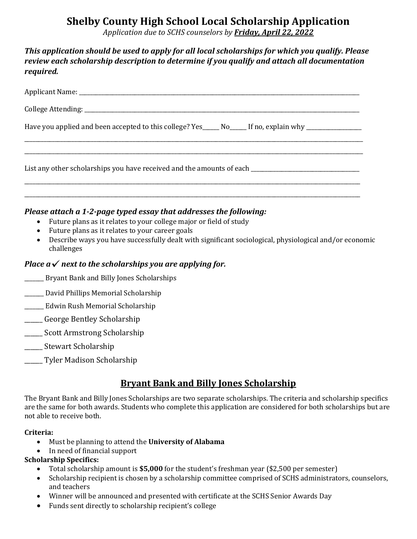# **Shelby County High School Local Scholarship Application**

*Application due to SCHS counselors by Friday, April 22, 2022*

## *This application should be used to apply for all local scholarships for which you qualify. Please review each scholarship description to determine if you qualify and attach all documentation required.*

| Have you applied and been accepted to this college? Yes_____ No_____ If no, explain why _________________         |
|-------------------------------------------------------------------------------------------------------------------|
|                                                                                                                   |
| List any other scholarships you have received and the amounts of each <b>the contract of the contract of each</b> |
|                                                                                                                   |

### *Please attach a 1-2-page typed essay that addresses the following:*

- Future plans as it relates to your college major or field of study
- Future plans as it relates to your career goals
- Describe ways you have successfully dealt with significant sociological, physiological and/or economic challenges

## *Place*  $a \checkmark$  *next to the scholarships you are applying for.*

- \_\_\_\_\_\_\_ Bryant Bank and Billy Jones Scholarships
- \_\_\_\_\_\_\_ David Phillips Memorial Scholarship
- \_\_\_\_\_\_\_ Edwin Rush Memorial Scholarship
- \_\_\_\_\_ George Bentley Scholarship
- \_\_\_\_\_\_ Scott Armstrong Scholarship
- \_\_\_\_\_\_ Stewart Scholarship
- \_\_\_\_\_\_ Tyler Madison Scholarship

## **Bryant Bank and Billy Jones Scholarship**

The Bryant Bank and Billy Jones Scholarships are two separate scholarships. The criteria and scholarship specifics are the same for both awards. Students who complete this application are considered for both scholarships but are not able to receive both.

#### **Criteria:**

- Must be planning to attend the **University of Alabama**
- In need of financial support

### **Scholarship Specifics:**

- Total scholarship amount is **\$5,000** for the student's freshman year (\$2,500 per semester)
- Scholarship recipient is chosen by a scholarship committee comprised of SCHS administrators, counselors, and teachers
- Winner will be announced and presented with certificate at the SCHS Senior Awards Day
- Funds sent directly to scholarship recipient's college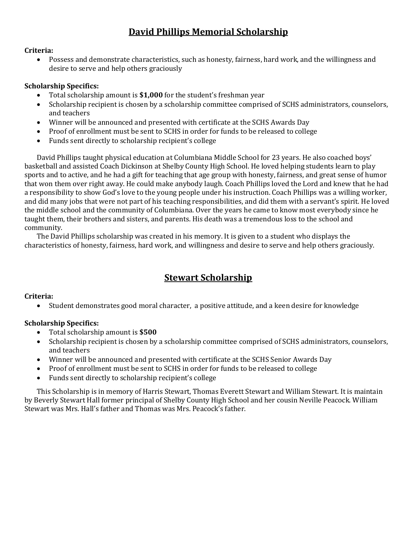# **David Phillips Memorial Scholarship**

#### **Criteria:**

 Possess and demonstrate characteristics, such as honesty, fairness, hard work, and the willingness and desire to serve and help others graciously

### **Scholarship Specifics:**

- Total scholarship amount is **\$1,000** for the student's freshman year
- Scholarship recipient is chosen by a scholarship committee comprised of SCHS administrators, counselors, and teachers
- Winner will be announced and presented with certificate at the SCHS Awards Day
- Proof of enrollment must be sent to SCHS in order for funds to be released to college
- Funds sent directly to scholarship recipient's college

David Phillips taught physical education at Columbiana Middle School for 23 years. He also coached boys' basketball and assisted Coach Dickinson at Shelby County High School. He loved helping students learn to play sports and to active, and he had a gift for teaching that age group with honesty, fairness, and great sense of humor that won them over right away. He could make anybody laugh. Coach Phillips loved the Lord and knew that he had a responsibility to show God's love to the young people under his instruction. Coach Phillips was a willing worker, and did many jobs that were not part of his teaching responsibilities, and did them with a servant's spirit. He loved the middle school and the community of Columbiana. Over the years he came to know most everybody since he taught them, their brothers and sisters, and parents. His death was a tremendous loss to the school and community.

The David Phillips scholarship was created in his memory. It is given to a student who displays the characteristics of honesty, fairness, hard work, and willingness and desire to serve and help others graciously.

## **Stewart Scholarship**

### **Criteria:**

Student demonstrates good moral character, a positive attitude, and a keen desire for knowledge

### **Scholarship Specifics:**

- Total scholarship amount is **\$500**
- Scholarship recipient is chosen by a scholarship committee comprised of SCHS administrators, counselors, and teachers
- Winner will be announced and presented with certificate at the SCHS Senior Awards Day
- Proof of enrollment must be sent to SCHS in order for funds to be released to college
- Funds sent directly to scholarship recipient's college

This Scholarship is in memory of Harris Stewart, Thomas Everett Stewart and William Stewart. It is maintain by Beverly Stewart Hall former principal of Shelby County High School and her cousin Neville Peacock. William Stewart was Mrs. Hall's father and Thomas was Mrs. Peacock's father.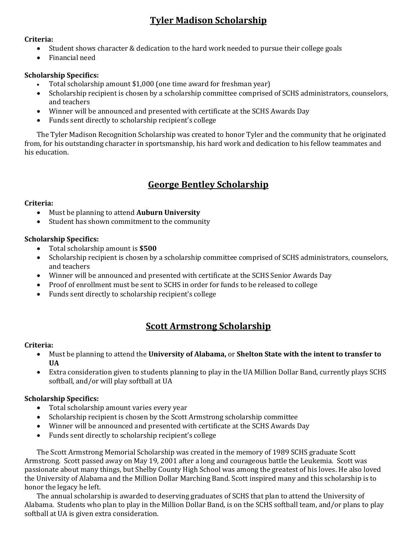# **Tyler Madison Scholarship**

### **Criteria:**

- Student shows character & dedication to the hard work needed to pursue their college goals
- Financial need

## **Scholarship Specifics:**

- Total scholarship amount \$1,000 (one time award for freshman year)
- Scholarship recipient is chosen by a scholarship committee comprised of SCHS administrators, counselors, and teachers
- Winner will be announced and presented with certificate at the SCHS Awards Day
- Funds sent directly to scholarship recipient's college

The Tyler Madison Recognition Scholarship was created to honor Tyler and the community that he originated from, for his outstanding character in sportsmanship, his hard work and dedication to his fellow teammates and his education.

# **George Bentley Scholarship**

### **Criteria:**

- Must be planning to attend **Auburn University**
- Student has shown commitment to the community

### **Scholarship Specifics:**

- Total scholarship amount is **\$500**
- Scholarship recipient is chosen by a scholarship committee comprised of SCHS administrators, counselors, and teachers
- Winner will be announced and presented with certificate at the SCHS Senior Awards Day
- Proof of enrollment must be sent to SCHS in order for funds to be released to college
- Funds sent directly to scholarship recipient's college

# **Scott Armstrong Scholarship**

### **Criteria:**

- Must be planning to attend the **University of Alabama,** or **Shelton State with the intent to transfer to UA**
- Extra consideration given to students planning to play in the UA Million Dollar Band, currently plays SCHS softball, and/or will play softball at UA

### **Scholarship Specifics:**

- Total scholarship amount varies every year
- Scholarship recipient is chosen by the Scott Armstrong scholarship committee
- Winner will be announced and presented with certificate at the SCHS Awards Day
- Funds sent directly to scholarship recipient's college

The Scott Armstrong Memorial Scholarship was created in the memory of 1989 SCHS graduate Scott Armstrong. Scott passed away on May 19, 2001 after a long and courageous battle the Leukemia. Scott was passionate about many things, but Shelby County High School was among the greatest of his loves. He also loved the University of Alabama and the Million Dollar Marching Band. Scott inspired many and this scholarship is to honor the legacy he left.

The annual scholarship is awarded to deserving graduates of SCHS that plan to attend the University of Alabama. Students who plan to play in the Million Dollar Band, is on the SCHS softball team, and/or plans to play softball at UA is given extra consideration.